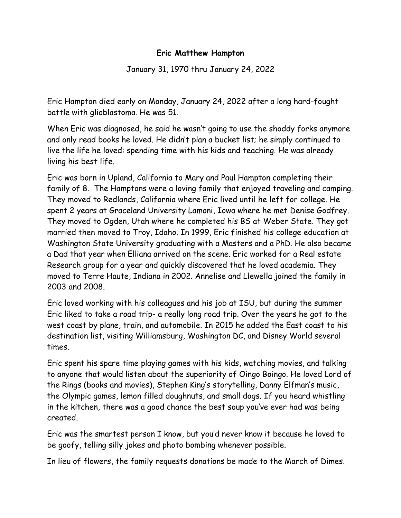## **Eric Matthew Hampton**

January 31, 1970 thru January 24, 2022

Eric Hampton died early on Monday, January 24, 2022 after a long hard-fought battle with glioblastoma. He was 51.

When Eric was diagnosed, he said he wasn't going to use the shoddy forks anymore and only read books he loved. He didn't plan a bucket list; he simply continued to live the life he loved: spending time with his kids and teaching. He was already living his best life.

Eric was born in Upland, California to Mary and Paul Hampton completing their family of 8. The Hamptons were a loving family that enjoyed traveling and camping. They moved to Redlands, California where Eric lived until he left for college. He spent 2 years at Graceland University Lamoni, Iowa where he met Denise Godfrey. They moved to Ogden, Utah where he completed his BS at Weber State. They got married then moved to Troy, Idaho. In 1999, Eric finished his college education at Washington State University graduating with a Masters and a PhD. He also became a Dad that year when Elliana arrived on the scene. Eric worked for a Real estate Research group for a year and quickly discovered that he loved academia. They moved to Terre Haute, Indiana in 2002. Annelise and Llewella joined the family in 2003 and 2008.

Eric loved working with his colleagues and his job at ISU, but during the summer Eric liked to take a road trip- a really long road trip. Over the years he got to the west coast by plane, train, and automobile. In 2015 he added the East coast to his destination list, visiting Williamsburg, Washington DC, and Disney World several times.

Eric spent his spare time playing games with his kids, watching movies, and talking to anyone that would listen about the superiority of Oingo Boingo. He loved Lord of the Rings (books and movies), Stephen King's storytelling, Danny Elfman's music, the Olympic games, lemon filled doughnuts, and small dogs. If you heard whistling in the kitchen, there was a good chance the best soup you've ever had was being created.

Eric was the smartest person I know, but you'd never know it because he loved to be goofy, telling silly jokes and photo bombing whenever possible.

In lieu of flowers, the family requests donations be made to the March of Dimes.